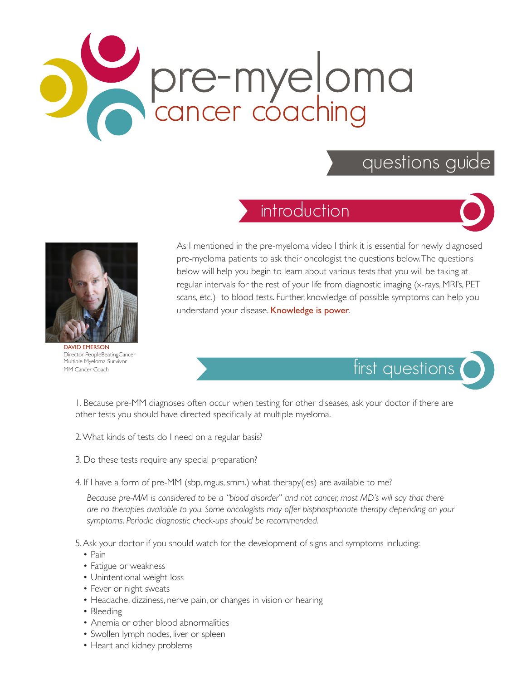## pre-myeloma cancer coaching

## questions guide

## introduction





DAVID EMERSON Director PeopleBeatingCancer Multiple Myeloma Survivor MM Cancer Coach

As I mentioned in the pre-myeloma video I think it is essential for newly diagnosed pre-myeloma patients to ask their oncologist the questions below. The questions below will help you begin to learn about various tests that you will be taking at regular intervals for the rest of your life from diagnostic imaging (x-rays, MRI's, PET scans, etc.) to blood tests. Further, knowledge of possible symptoms can help you understand your disease. Knowledge is power.



1. Because pre-MM diagnoses often occur when testing for other diseases, ask your doctor if there are other tests you should have directed specifically at multiple myeloma.

- 2. What kinds of tests do I need on a regular basis?
- 3. Do these tests require any special preparation?
- 4. If I have a form of pre-MM (sbp, mgus, smm.) what therapy(ies) are available to me?

*Because pre-MM is considered to be a "blood disorder" and not cancer, most MD's will say that there are no therapies available to you. Some oncologists may offer bisphosphonate therapy depending on your symptoms. Periodic diagnostic check-ups should be recommended.*

5. Ask your doctor if you should watch for the development of signs and symptoms including:

- Pain
- Fatigue or weakness
- Unintentional weight loss
- Fever or night sweats
- Headache, dizziness, nerve pain, or changes in vision or hearing
- Bleeding
- Anemia or other blood abnormalities
- Swollen lymph nodes, liver or spleen
- Heart and kidney problems